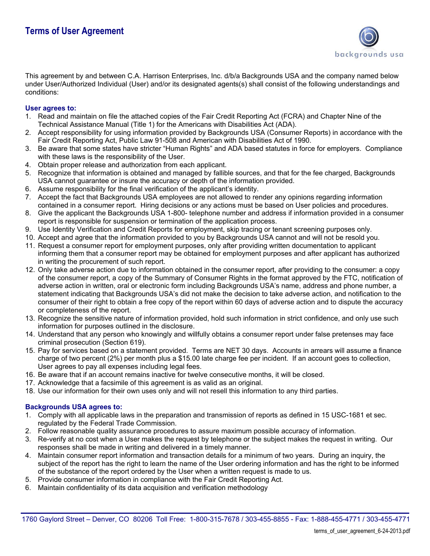

This agreement by and between C.A. Harrison Enterprises, Inc. d/b/a Backgrounds USA and the company named below under User/Authorized Individual (User) and/or its designated agents(s) shall consist of the following understandings and conditions:

## **User agrees to:**

- 1. Read and maintain on file the attached copies of the Fair Credit Reporting Act (FCRA) and Chapter Nine of the Technical Assistance Manual (Title 1) for the Americans with Disabilities Act (ADA).
- 2. Accept responsibility for using information provided by Backgrounds USA (Consumer Reports) in accordance with the Fair Credit Reporting Act, Public Law 91-508 and American with Disabilities Act of 1990.
- 3. Be aware that some states have stricter "Human Rights" and ADA based statutes in force for employers. Compliance with these laws is the responsibility of the User.
- 4. Obtain proper release and authorization from each applicant.
- 5. Recognize that information is obtained and managed by fallible sources, and that for the fee charged, Backgrounds USA cannot guarantee or insure the accuracy or depth of the information provided.
- 6. Assume responsibility for the final verification of the applicant's identity.
- 7. Accept the fact that Backgrounds USA employees are not allowed to render any opinions regarding information contained in a consumer report. Hiring decisions or any actions must be based on User policies and procedures.
- 8. Give the applicant the Backgrounds USA 1-800- telephone number and address if information provided in a consumer report is responsible for suspension or termination of the application process.
- 9. Use Identity Verification and Credit Reports for employment, skip tracing or tenant screening purposes only.
- 10. Accept and agree that the information provided to you by Backgrounds USA cannot and will not be resold you.
- 11. Request a consumer report for employment purposes, only after providing written documentation to applicant informing them that a consumer report may be obtained for employment purposes and after applicant has authorized in writing the procurement of such report.
- 12. Only take adverse action due to information obtained in the consumer report, after providing to the consumer: a copy of the consumer report, a copy of the Summary of Consumer Rights in the format approved by the FTC, notification of adverse action in written, oral or electronic form including Backgrounds USA's name, address and phone number, a statement indicating that Backgrounds USA's did not make the decision to take adverse action, and notification to the consumer of their right to obtain a free copy of the report within 60 days of adverse action and to dispute the accuracy or completeness of the report.
- 13. Recognize the sensitive nature of information provided, hold such information in strict confidence, and only use such information for purposes outlined in the disclosure.
- 14. Understand that any person who knowingly and willfully obtains a consumer report under false pretenses may face criminal prosecution (Section 619).
- 15. Pay for services based on a statement provided. Terms are NET 30 days. Accounts in arrears will assume a finance charge of two percent (2%) per month plus a \$15.00 late charge fee per incident. If an account goes to collection, User agrees to pay all expenses including legal fees.
- 16. Be aware that if an account remains inactive for twelve consecutive months, it will be closed.
- 17. Acknowledge that a facsimile of this agreement is as valid as an original.
- 18. Use our information for their own uses only and will not resell this information to any third parties.

## **Backgrounds USA agrees to:**

- 1. Comply with all applicable laws in the preparation and transmission of reports as defined in 15 USC-1681 et sec. regulated by the Federal Trade Commission.
- 2. Follow reasonable quality assurance procedures to assure maximum possible accuracy of information.
- 3. Re-verify at no cost when a User makes the request by telephone or the subject makes the request in writing. Our responses shall be made in writing and delivered in a timely manner.
- 4. Maintain consumer report information and transaction details for a minimum of two years. During an inquiry, the subject of the report has the right to learn the name of the User ordering information and has the right to be informed of the substance of the report ordered by the User when a written request is made to us.
- 5. Provide consumer information in compliance with the Fair Credit Reporting Act.
- 6. Maintain confidentiality of its data acquisition and verification methodology